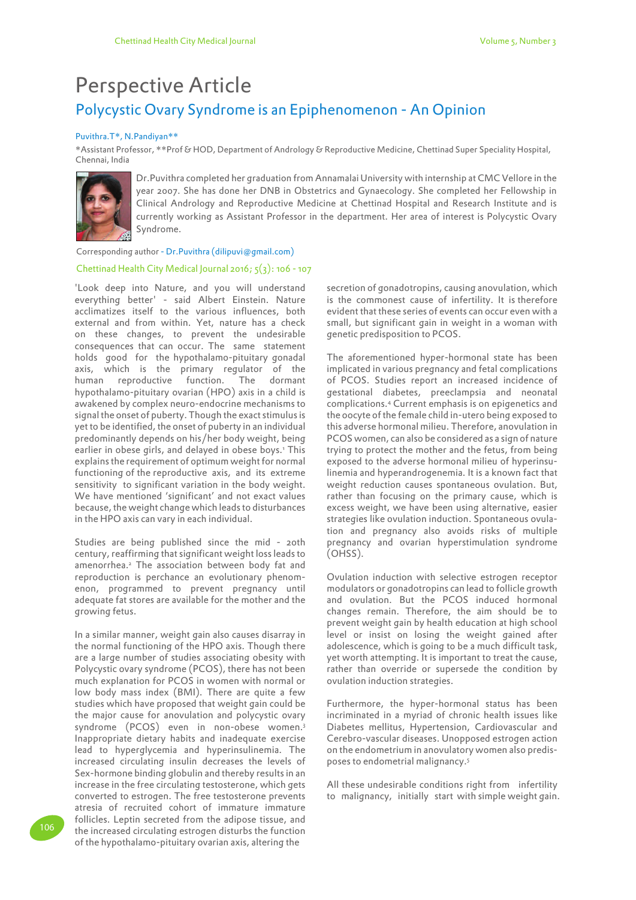## Polycystic Ovary Syndrome is an Epiphenomenon - An Opinion Perspective Article

## Puvithra.T\*, N.Pandiyan\*\*

\*Assistant Professor, \*\*Prof & HOD, Department of Andrology & Reproductive Medicine, Chettinad Super Speciality Hospital, Chennai, India



Dr.Puvithra completed her graduation from Annamalai University with internship at CMC Vellore in the year 2007. She has done her DNB in Obstetrics and Gynaecology. She completed her Fellowship in Clinical Andrology and Reproductive Medicine at Chettinad Hospital and Research Institute and is currently working as Assistant Professor in the department. Her area of interest is Polycystic Ovary Syndrome.

Corresponding author - Dr.Puvithra (dilipuvi@gmail.com)

## Chettinad Health City Medical Journal 2016;  $5(3)$ : 106 - 107

'Look deep into Nature, and you will understand everything better' - said Albert Einstein. Nature acclimatizes itself to the various influences, both external and from within. Yet, nature has a check on these changes, to prevent the undesirable consequences that can occur. The same statement holds good for the hypothalamo-pituitary gonadal axis, which is the primary regulator of the human reproductive function. The dormant hypothalamo-pituitary ovarian (HPO) axis in a child is awakened by complex neuro-endocrine mechanisms to signal the onset of puberty. Though the exact stimulus is yet to be identified, the onset of puberty in an individual predominantly depends on his/her body weight, being earlier in obese girls, and delayed in obese boys.<sup>1</sup> This explains the requirement of optimum weight for normal functioning of the reproductive axis, and its extreme sensitivity to significant variation in the body weight. We have mentioned 'significant' and not exact values because, the weight change which leads to disturbances in the HPO axis can vary in each individual.

Studies are being published since the mid - 20th century, reaffirming that significant weight loss leads to amenorrhea.<sup>2</sup> The association between body fat and reproduction is perchance an evolutionary phenomenon, programmed to prevent pregnancy until adequate fat stores are available for the mother and the growing fetus.

In a similar manner, weight gain also causes disarray in the normal functioning of the HPO axis. Though there are a large number of studies associating obesity with Polycystic ovary syndrome (PCOS), there has not been much explanation for PCOS in women with normal or low body mass index (BMI). There are quite a few studies which have proposed that weight gain could be the major cause for anovulation and polycystic ovary syndrome (PCOS) even in non-obese women.<sup>3</sup> Inappropriate dietary habits and inadequate exercise lead to hyperglycemia and hyperinsulinemia. The increased circulating insulin decreases the levels of Sex-hormone binding globulin and thereby results in an increase in the free circulating testosterone, which gets converted to estrogen. The free testosterone prevents atresia of recruited cohort of immature immature follicles. Leptin secreted from the adipose tissue, and the increased circulating estrogen disturbs the function of the hypothalamo-pituitary ovarian axis, altering the

secretion of gonadotropins, causing anovulation, which is the commonest cause of infertility. It is therefore evident that these series of events can occur even with a small, but significant gain in weight in a woman with genetic predisposition to PCOS.

The aforementioned hyper-hormonal state has been implicated in various pregnancy and fetal complications of PCOS. Studies report an increased incidence of gestational diabetes, preeclampsia and neonatal complications.<sup>4</sup> Current emphasis is on epigenetics and the oocyte of the female child in-utero being exposed to this adverse hormonal milieu. Therefore, anovulation in PCOS women, can also be considered as a sign of nature trying to protect the mother and the fetus, from being exposed to the adverse hormonal milieu of hyperinsulinemia and hyperandrogenemia. It is a known fact that weight reduction causes spontaneous ovulation. But, rather than focusing on the primary cause, which is excess weight, we have been using alternative, easier strategies like ovulation induction. Spontaneous ovulation and pregnancy also avoids risks of multiple pregnancy and ovarian hyperstimulation syndrome (OHSS).

Ovulation induction with selective estrogen receptor modulators or gonadotropins can lead to follicle growth and ovulation. But the PCOS induced hormonal changes remain. Therefore, the aim should be to prevent weight gain by health education at high school level or insist on losing the weight gained after adolescence, which is going to be a much difficult task, yet worth attempting. It is important to treat the cause, rather than override or supersede the condition by ovulation induction strategies.

Furthermore, the hyper-hormonal status has been incriminated in a myriad of chronic health issues like Diabetes mellitus, Hypertension, Cardiovascular and Cerebro-vascular diseases. Unopposed estrogen action on the endometrium in anovulatory women also predisposes to endometrial malignancy.<sup>5</sup>

All these undesirable conditions right from infertility to malignancy, initially start with simple weight gain.